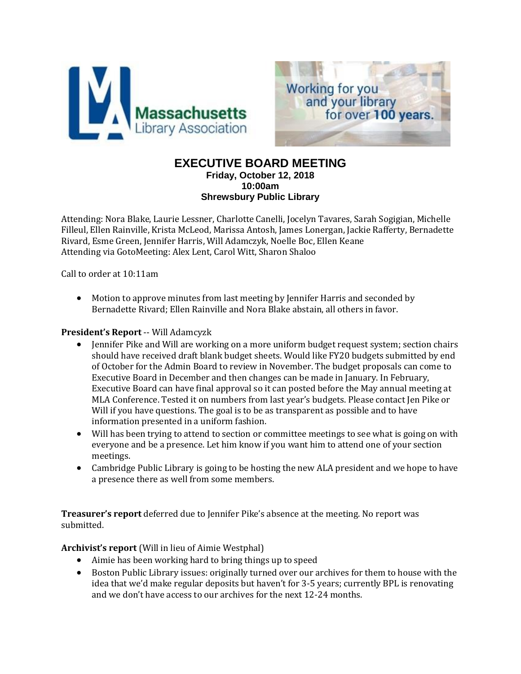



# **EXECUTIVE BOARD MEETING Friday, October 12, 2018 10:00am**

**Shrewsbury Public Library**

Attending: Nora Blake, Laurie Lessner, Charlotte Canelli, Jocelyn Tavares, Sarah Sogigian, Michelle Filleul, Ellen Rainville, Krista McLeod, Marissa Antosh, James Lonergan, Jackie Rafferty, Bernadette Rivard, Esme Green, Jennifer Harris, Will Adamczyk, Noelle Boc, Ellen Keane Attending via GotoMeeting: Alex Lent, Carol Witt, Sharon Shaloo

Call to order at 10:11am

 Motion to approve minutes from last meeting by Jennifer Harris and seconded by Bernadette Rivard; Ellen Rainville and Nora Blake abstain, all others in favor.

### **President's Report** -- Will Adamcyzk

- Jennifer Pike and Will are working on a more uniform budget request system; section chairs should have received draft blank budget sheets. Would like FY20 budgets submitted by end of October for the Admin Board to review in November. The budget proposals can come to Executive Board in December and then changes can be made in January. In February, Executive Board can have final approval so it can posted before the May annual meeting at MLA Conference. Tested it on numbers from last year's budgets. Please contact Jen Pike or Will if you have questions. The goal is to be as transparent as possible and to have information presented in a uniform fashion.
- Will has been trying to attend to section or committee meetings to see what is going on with everyone and be a presence. Let him know if you want him to attend one of your section meetings.
- Cambridge Public Library is going to be hosting the new ALA president and we hope to have a presence there as well from some members.

**Treasurer's report** deferred due to Jennifer Pike's absence at the meeting. No report was submitted.

**Archivist's report** (Will in lieu of Aimie Westphal)

- Aimie has been working hard to bring things up to speed
- Boston Public Library issues: originally turned over our archives for them to house with the idea that we'd make regular deposits but haven't for 3-5 years; currently BPL is renovating and we don't have access to our archives for the next 12-24 months.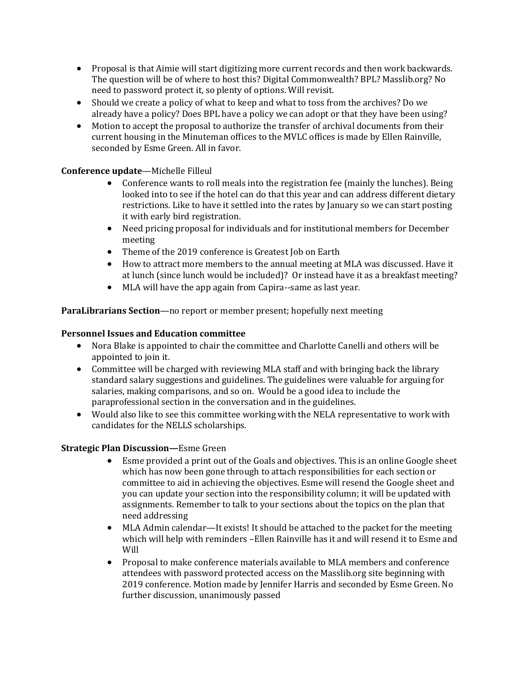- Proposal is that Aimie will start digitizing more current records and then work backwards. The question will be of where to host this? Digital Commonwealth? BPL? Masslib.org? No need to password protect it, so plenty of options. Will revisit.
- Should we create a policy of what to keep and what to toss from the archives? Do we already have a policy? Does BPL have a policy we can adopt or that they have been using?
- Motion to accept the proposal to authorize the transfer of archival documents from their current housing in the Minuteman offices to the MVLC offices is made by Ellen Rainville, seconded by Esme Green. All in favor.

## **Conference update**—Michelle Filleul

- Conference wants to roll meals into the registration fee (mainly the lunches). Being looked into to see if the hotel can do that this year and can address different dietary restrictions. Like to have it settled into the rates by January so we can start posting it with early bird registration.
- Need pricing proposal for individuals and for institutional members for December meeting
- Theme of the 2019 conference is Greatest Job on Earth
- How to attract more members to the annual meeting at MLA was discussed. Have it at lunch (since lunch would be included)? Or instead have it as a breakfast meeting?
- MLA will have the app again from Capira--same as last year.

**ParaLibrarians Section**—no report or member present; hopefully next meeting

### **Personnel Issues and Education committee**

- Nora Blake is appointed to chair the committee and Charlotte Canelli and others will be appointed to join it.
- Committee will be charged with reviewing MLA staff and with bringing back the library standard salary suggestions and guidelines. The guidelines were valuable for arguing for salaries, making comparisons, and so on. Would be a good idea to include the paraprofessional section in the conversation and in the guidelines.
- Would also like to see this committee working with the NELA representative to work with candidates for the NELLS scholarships.

# **Strategic Plan Discussion—**Esme Green

- Esme provided a print out of the Goals and objectives. This is an online Google sheet which has now been gone through to attach responsibilities for each section or committee to aid in achieving the objectives. Esme will resend the Google sheet and you can update your section into the responsibility column; it will be updated with assignments. Remember to talk to your sections about the topics on the plan that need addressing
- MLA Admin calendar—It exists! It should be attached to the packet for the meeting which will help with reminders –Ellen Rainville has it and will resend it to Esme and Will
- Proposal to make conference materials available to MLA members and conference attendees with password protected access on the Masslib.org site beginning with 2019 conference. Motion made by Jennifer Harris and seconded by Esme Green. No further discussion, unanimously passed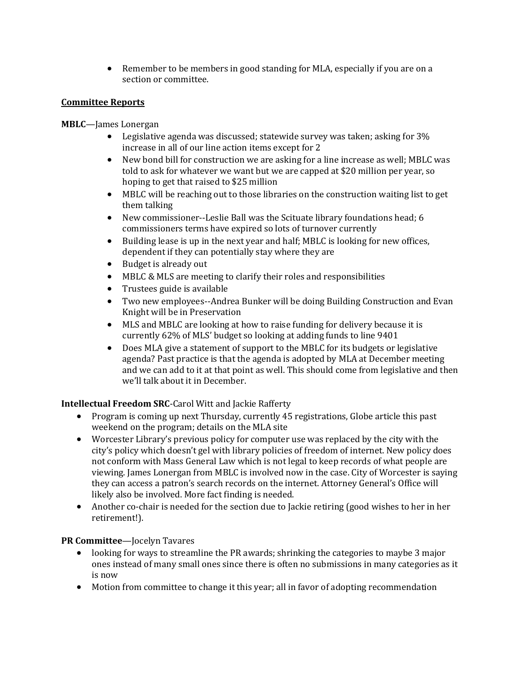• Remember to be members in good standing for MLA, especially if you are on a section or committee.

## **Committee Reports**

**MBLC**—James Lonergan

- Legislative agenda was discussed; statewide survey was taken; asking for 3% increase in all of our line action items except for 2
- New bond bill for construction we are asking for a line increase as well; MBLC was told to ask for whatever we want but we are capped at \$20 million per year, so hoping to get that raised to \$25 million
- MBLC will be reaching out to those libraries on the construction waiting list to get them talking
- New commissioner--Leslie Ball was the Scituate library foundations head; 6 commissioners terms have expired so lots of turnover currently
- Building lease is up in the next year and half; MBLC is looking for new offices, dependent if they can potentially stay where they are
- Budget is already out
- MBLC & MLS are meeting to clarify their roles and responsibilities
- Trustees guide is available
- Two new employees--Andrea Bunker will be doing Building Construction and Evan Knight will be in Preservation
- MLS and MBLC are looking at how to raise funding for delivery because it is currently 62% of MLS' budget so looking at adding funds to line 9401
- Does MLA give a statement of support to the MBLC for its budgets or legislative agenda? Past practice is that the agenda is adopted by MLA at December meeting and we can add to it at that point as well. This should come from legislative and then we'll talk about it in December.

# **Intellectual Freedom SRC**-Carol Witt and Jackie Rafferty

- Program is coming up next Thursday, currently 45 registrations, Globe article this past weekend on the program; details on the MLA site
- Worcester Library's previous policy for computer use was replaced by the city with the city's policy which doesn't gel with library policies of freedom of internet. New policy does not conform with Mass General Law which is not legal to keep records of what people are viewing. James Lonergan from MBLC is involved now in the case. City of Worcester is saying they can access a patron's search records on the internet. Attorney General's Office will likely also be involved. More fact finding is needed.
- Another co-chair is needed for the section due to Jackie retiring (good wishes to her in her retirement!).

### **PR Committee**—Jocelyn Tavares

- looking for ways to streamline the PR awards; shrinking the categories to maybe 3 major ones instead of many small ones since there is often no submissions in many categories as it is now
- Motion from committee to change it this year; all in favor of adopting recommendation